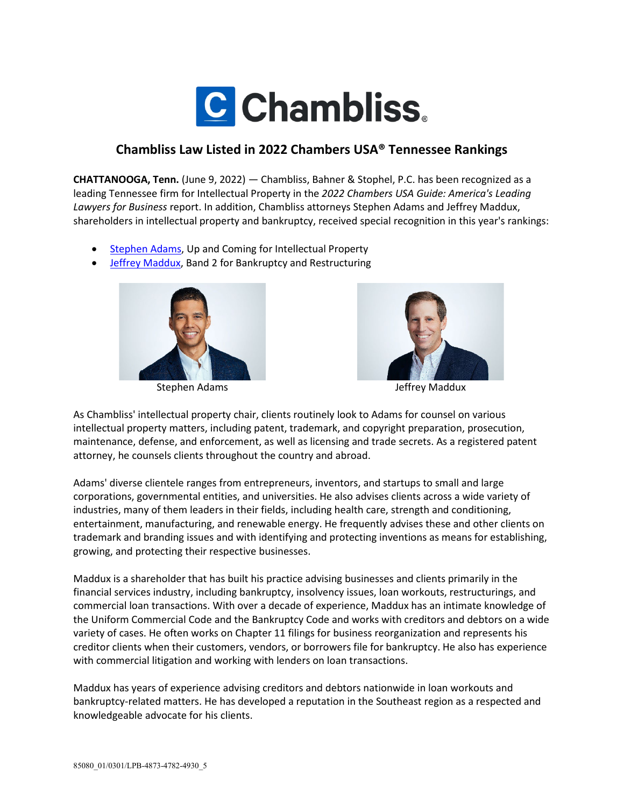

## **Chambliss Law Listed in 2022 Chambers USA® Tennessee Rankings**

**CHATTANOOGA, Tenn.** (June 9, 2022) — Chambliss, Bahner & Stophel, P.C. has been recognized as a leading Tennessee firm for Intellectual Property in the *2022 Chambers USA Guide: America's Leading Lawyers for Business* report. In addition, Chambliss attorneys Stephen Adams and Jeffrey Maddux, shareholders in intellectual property and bankruptcy, received special recognition in this year's rankings:

- [Stephen Adams,](https://www.chamblisslaw.com/people/stephen-d-adams/) Up and Coming for Intellectual Property
- [Jeffrey Maddux,](https://www.chamblisslaw.com/people/jeffrey-w-maddux/) Band 2 for Bankruptcy and Restructuring



Stephen Adams and a stephen Adams and a stephen Adams and a stephen Adams and a stephen Adams and a stephen Adams and a stephen Adams and a stephen Adams and a stephen Adams and a stephen Adams and a stephen Adams and a st



As Chambliss' intellectual property chair, clients routinely look to Adams for counsel on various intellectual property matters, including patent, trademark, and copyright preparation, prosecution, maintenance, defense, and enforcement, as well as licensing and trade secrets. As a registered patent attorney, he counsels clients throughout the country and abroad.

Adams' diverse clientele ranges from entrepreneurs, inventors, and startups to small and large corporations, governmental entities, and universities. He also advises clients across a wide variety of industries, many of them leaders in their fields, including health care, strength and conditioning, entertainment, manufacturing, and renewable energy. He frequently advises these and other clients on trademark and branding issues and with identifying and protecting inventions as means for establishing, growing, and protecting their respective businesses.

Maddux is a shareholder that has built his practice advising businesses and clients primarily in the financial services industry, including bankruptcy, insolvency issues, loan workouts, restructurings, and commercial loan transactions. With over a decade of experience, Maddux has an intimate knowledge of the Uniform Commercial Code and the Bankruptcy Code and works with creditors and debtors on a wide variety of cases. He often works on Chapter 11 filings for business reorganization and represents his creditor clients when their customers, vendors, or borrowers file for bankruptcy. He also has experience with commercial litigation and working with lenders on loan transactions.

Maddux has years of experience advising creditors and debtors nationwide in loan workouts and bankruptcy-related matters. He has developed a reputation in the Southeast region as a respected and knowledgeable advocate for his clients.